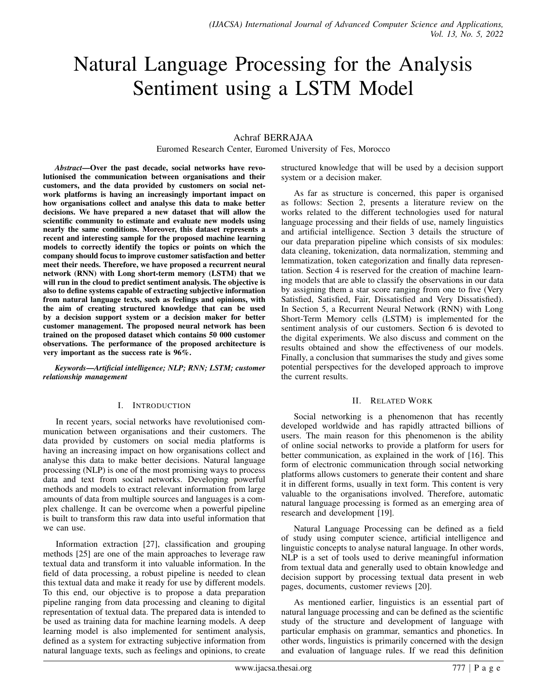# Natural Language Processing for the Analysis Sentiment using a LSTM Model

## Achraf BERRAJAA

Euromed Research Center, Euromed University of Fes, Morocco

*Abstract*—Over the past decade, social networks have revolutionised the communication between organisations and their customers, and the data provided by customers on social network platforms is having an increasingly important impact on how organisations collect and analyse this data to make better decisions. We have prepared a new dataset that will allow the scientific community to estimate and evaluate new models using nearly the same conditions. Moreover, this dataset represents a recent and interesting sample for the proposed machine learning models to correctly identify the topics or points on which the company should focus to improve customer satisfaction and better meet their needs. Therefore, we have proposed a recurrent neural network (RNN) with Long short-term memory (LSTM) that we will run in the cloud to predict sentiment analysis. The objective is also to define systems capable of extracting subjective information from natural language texts, such as feelings and opinions, with the aim of creating structured knowledge that can be used by a decision support system or a decision maker for better customer management. The proposed neural network has been trained on the proposed dataset which contains 50 000 customer observations. The performance of the proposed architecture is very important as the success rate is 96%.

*Keywords*—*Artificial intelligence; NLP; RNN; LSTM; customer relationship management*

### I. INTRODUCTION

In recent years, social networks have revolutionised communication between organisations and their customers. The data provided by customers on social media platforms is having an increasing impact on how organisations collect and analyse this data to make better decisions. Natural language processing (NLP) is one of the most promising ways to process data and text from social networks. Developing powerful methods and models to extract relevant information from large amounts of data from multiple sources and languages is a complex challenge. It can be overcome when a powerful pipeline is built to transform this raw data into useful information that we can use.

Information extraction [27], classification and grouping methods [25] are one of the main approaches to leverage raw textual data and transform it into valuable information. In the field of data processing, a robust pipeline is needed to clean this textual data and make it ready for use by different models. To this end, our objective is to propose a data preparation pipeline ranging from data processing and cleaning to digital representation of textual data. The prepared data is intended to be used as training data for machine learning models. A deep learning model is also implemented for sentiment analysis, defined as a system for extracting subjective information from natural language texts, such as feelings and opinions, to create

structured knowledge that will be used by a decision support system or a decision maker.

As far as structure is concerned, this paper is organised as follows: Section 2, presents a literature review on the works related to the different technologies used for natural language processing and their fields of use, namely linguistics and artificial intelligence. Section 3 details the structure of our data preparation pipeline which consists of six modules: data cleaning, tokenization, data normalization, stemming and lemmatization, token categorization and finally data representation. Section 4 is reserved for the creation of machine learning models that are able to classify the observations in our data by assigning them a star score ranging from one to five (Very Satisfied, Satisfied, Fair, Dissatisfied and Very Dissatisfied). In Section 5, a Recurrent Neural Network (RNN) with Long Short-Term Memory cells (LSTM) is implemented for the sentiment analysis of our customers. Section 6 is devoted to the digital experiments. We also discuss and comment on the results obtained and show the effectiveness of our models. Finally, a conclusion that summarises the study and gives some potential perspectives for the developed approach to improve the current results.

### II. RELATED WORK

Social networking is a phenomenon that has recently developed worldwide and has rapidly attracted billions of users. The main reason for this phenomenon is the ability of online social networks to provide a platform for users for better communication, as explained in the work of [16]. This form of electronic communication through social networking platforms allows customers to generate their content and share it in different forms, usually in text form. This content is very valuable to the organisations involved. Therefore, automatic natural language processing is formed as an emerging area of research and development [19].

Natural Language Processing can be defined as a field of study using computer science, artificial intelligence and linguistic concepts to analyse natural language. In other words, NLP is a set of tools used to derive meaningful information from textual data and generally used to obtain knowledge and decision support by processing textual data present in web pages, documents, customer reviews [20].

As mentioned earlier, linguistics is an essential part of natural language processing and can be defined as the scientific study of the structure and development of language with particular emphasis on grammar, semantics and phonetics. In other words, linguistics is primarily concerned with the design and evaluation of language rules. If we read this definition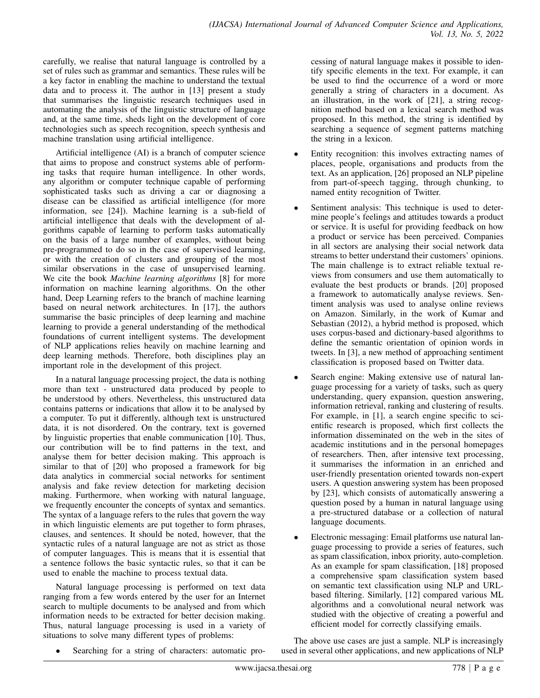carefully, we realise that natural language is controlled by a set of rules such as grammar and semantics. These rules will be a key factor in enabling the machine to understand the textual data and to process it. The author in [13] present a study that summarises the linguistic research techniques used in automating the analysis of the linguistic structure of language and, at the same time, sheds light on the development of core technologies such as speech recognition, speech synthesis and machine translation using artificial intelligence.

Artificial intelligence (AI) is a branch of computer science that aims to propose and construct systems able of performing tasks that require human intelligence. In other words, any algorithm or computer technique capable of performing sophisticated tasks such as driving a car or diagnosing a disease can be classified as artificial intelligence (for more information, see [24]). Machine learning is a sub-field of artificial intelligence that deals with the development of algorithms capable of learning to perform tasks automatically on the basis of a large number of examples, without being pre-programmed to do so in the case of supervised learning, or with the creation of clusters and grouping of the most similar observations in the case of unsupervised learning. We cite the book *Machine learning algorithms* [8] for more information on machine learning algorithms. On the other hand, Deep Learning refers to the branch of machine learning based on neural network architectures. In [17], the authors summarise the basic principles of deep learning and machine learning to provide a general understanding of the methodical foundations of current intelligent systems. The development of NLP applications relies heavily on machine learning and deep learning methods. Therefore, both disciplines play an important role in the development of this project.

In a natural language processing project, the data is nothing more than text - unstructured data produced by people to be understood by others. Nevertheless, this unstructured data contains patterns or indications that allow it to be analysed by a computer. To put it differently, although text is unstructured data, it is not disordered. On the contrary, text is governed by linguistic properties that enable communication [10]. Thus, our contribution will be to find patterns in the text, and analyse them for better decision making. This approach is similar to that of [20] who proposed a framework for big data analytics in commercial social networks for sentiment analysis and fake review detection for marketing decision making. Furthermore, when working with natural language, we frequently encounter the concepts of syntax and semantics. The syntax of a language refers to the rules that govern the way in which linguistic elements are put together to form phrases, clauses, and sentences. It should be noted, however, that the syntactic rules of a natural language are not as strict as those of computer languages. This is means that it is essential that a sentence follows the basic syntactic rules, so that it can be used to enable the machine to process textual data.

Natural language processing is performed on text data ranging from a few words entered by the user for an Internet search to multiple documents to be analysed and from which information needs to be extracted for better decision making. Thus, natural language processing is used in a variety of situations to solve many different types of problems:

cessing of natural language makes it possible to identify specific elements in the text. For example, it can be used to find the occurrence of a word or more generally a string of characters in a document. As an illustration, in the work of [21], a string recognition method based on a lexical search method was proposed. In this method, the string is identified by searching a sequence of segment patterns matching the string in a lexicon.

- Entity recognition: this involves extracting names of places, people, organisations and products from the text. As an application, [26] proposed an NLP pipeline from part-of-speech tagging, through chunking, to named entity recognition of Twitter.
- Sentiment analysis: This technique is used to determine people's feelings and attitudes towards a product or service. It is useful for providing feedback on how a product or service has been perceived. Companies in all sectors are analysing their social network data streams to better understand their customers' opinions. The main challenge is to extract reliable textual reviews from consumers and use them automatically to evaluate the best products or brands. [20] proposed a framework to automatically analyse reviews. Sentiment analysis was used to analyse online reviews on Amazon. Similarly, in the work of Kumar and Sebastian (2012), a hybrid method is proposed, which uses corpus-based and dictionary-based algorithms to define the semantic orientation of opinion words in tweets. In [3], a new method of approaching sentiment classification is proposed based on Twitter data.
- Search engine: Making extensive use of natural language processing for a variety of tasks, such as query understanding, query expansion, question answering, information retrieval, ranking and clustering of results. For example, in [1], a search engine specific to scientific research is proposed, which first collects the information disseminated on the web in the sites of academic institutions and in the personal homepages of researchers. Then, after intensive text processing, it summarises the information in an enriched and user-friendly presentation oriented towards non-expert users. A question answering system has been proposed by [23], which consists of automatically answering a question posed by a human in natural language using a pre-structured database or a collection of natural language documents.
- Electronic messaging: Email platforms use natural language processing to provide a series of features, such as spam classification, inbox priority, auto-completion. As an example for spam classification, [18] proposed a comprehensive spam classification system based on semantic text classification using NLP and URLbased filtering. Similarly, [12] compared various ML algorithms and a convolutional neural network was studied with the objective of creating a powerful and efficient model for correctly classifying emails.
- Searching for a string of characters: automatic pro-

The above use cases are just a sample. NLP is increasingly used in several other applications, and new applications of NLP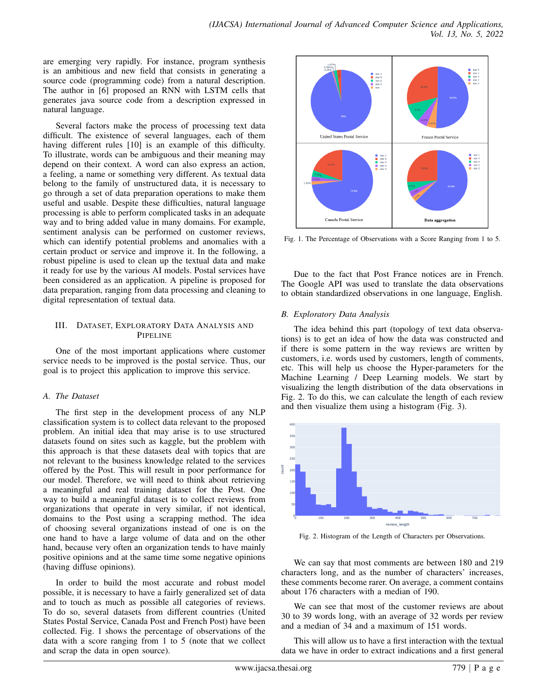are emerging very rapidly. For instance, program synthesis is an ambitious and new field that consists in generating a source code (programming code) from a natural description. The author in [6] proposed an RNN with LSTM cells that generates java source code from a description expressed in natural language.

Several factors make the process of processing text data difficult. The existence of several languages, each of them having different rules [10] is an example of this difficulty. To illustrate, words can be ambiguous and their meaning may depend on their context. A word can also express an action, a feeling, a name or something very different. As textual data belong to the family of unstructured data, it is necessary to go through a set of data preparation operations to make them useful and usable. Despite these difficulties, natural language processing is able to perform complicated tasks in an adequate way and to bring added value in many domains. For example, sentiment analysis can be performed on customer reviews, which can identify potential problems and anomalies with a certain product or service and improve it. In the following, a robust pipeline is used to clean up the textual data and make it ready for use by the various AI models. Postal services have been considered as an application. A pipeline is proposed for data preparation, ranging from data processing and cleaning to digital representation of textual data.

## III. DATASET, EXPLORATORY DATA ANALYSIS AND PIPELINE

One of the most important applications where customer service needs to be improved is the postal service. Thus, our goal is to project this application to improve this service.

### *A. The Dataset*

The first step in the development process of any NLP classification system is to collect data relevant to the proposed problem. An initial idea that may arise is to use structured datasets found on sites such as kaggle, but the problem with this approach is that these datasets deal with topics that are not relevant to the business knowledge related to the services offered by the Post. This will result in poor performance for our model. Therefore, we will need to think about retrieving a meaningful and real training dataset for the Post. One way to build a meaningful dataset is to collect reviews from organizations that operate in very similar, if not identical, domains to the Post using a scrapping method. The idea of choosing several organizations instead of one is on the one hand to have a large volume of data and on the other hand, because very often an organization tends to have mainly positive opinions and at the same time some negative opinions (having diffuse opinions).

In order to build the most accurate and robust model possible, it is necessary to have a fairly generalized set of data and to touch as much as possible all categories of reviews. To do so, several datasets from different countries (United States Postal Service, Canada Post and French Post) have been collected. Fig. 1 shows the percentage of observations of the data with a score ranging from 1 to 5 (note that we collect and scrap the data in open source).



Fig. 1. The Percentage of Observations with a Score Ranging from 1 to 5.

Due to the fact that Post France notices are in French. The Google API was used to translate the data observations to obtain standardized observations in one language, English.

## *B. Exploratory Data Analysis*

The idea behind this part (topology of text data observations) is to get an idea of how the data was constructed and if there is some pattern in the way reviews are written by customers, i.e. words used by customers, length of comments, etc. This will help us choose the Hyper-parameters for the Machine Learning / Deep Learning models. We start by visualizing the length distribution of the data observations in Fig. 2. To do this, we can calculate the length of each review and then visualize them using a histogram (Fig. 3).



Fig. 2. Histogram of the Length of Characters per Observations.

We can say that most comments are between 180 and 219 characters long, and as the number of characters' increases, these comments become rarer. On average, a comment contains about 176 characters with a median of 190.

We can see that most of the customer reviews are about 30 to 39 words long, with an average of 32 words per review and a median of 34 and a maximum of 151 words.

This will allow us to have a first interaction with the textual data we have in order to extract indications and a first general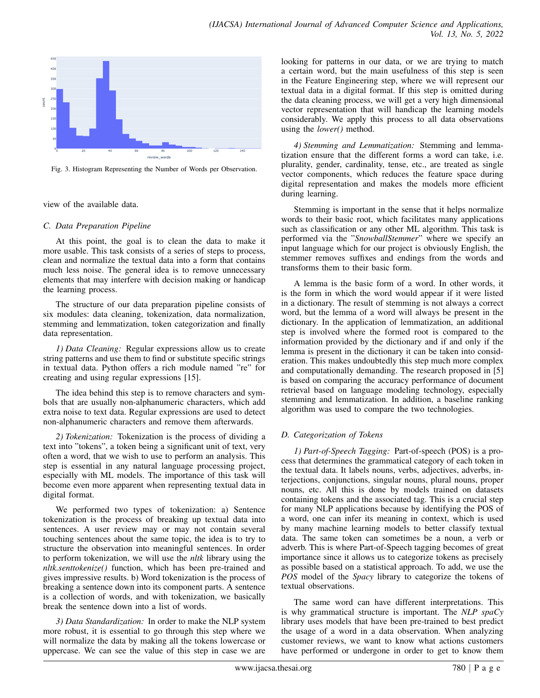

Fig. 3. Histogram Representing the Number of Words per Observation.

view of the available data.

## *C. Data Preparation Pipeline*

At this point, the goal is to clean the data to make it more usable. This task consists of a series of steps to process, clean and normalize the textual data into a form that contains much less noise. The general idea is to remove unnecessary elements that may interfere with decision making or handicap the learning process.

The structure of our data preparation pipeline consists of six modules: data cleaning, tokenization, data normalization, stemming and lemmatization, token categorization and finally data representation.

*1) Data Cleaning:* Regular expressions allow us to create string patterns and use them to find or substitute specific strings in textual data. Python offers a rich module named "re" for creating and using regular expressions [15].

The idea behind this step is to remove characters and symbols that are usually non-alphanumeric characters, which add extra noise to text data. Regular expressions are used to detect non-alphanumeric characters and remove them afterwards.

*2) Tokenization:* Tokenization is the process of dividing a text into "tokens", a token being a significant unit of text, very often a word, that we wish to use to perform an analysis. This step is essential in any natural language processing project, especially with ML models. The importance of this task will become even more apparent when representing textual data in digital format.

We performed two types of tokenization: a) Sentence tokenization is the process of breaking up textual data into sentences. A user review may or may not contain several touching sentences about the same topic, the idea is to try to structure the observation into meaningful sentences. In order to perform tokenization, we will use the *nltk* library using the *nltk.senttokenize()* function, which has been pre-trained and gives impressive results. b) Word tokenization is the process of breaking a sentence down into its component parts. A sentence is a collection of words, and with tokenization, we basically break the sentence down into a list of words.

*3) Data Standardization:* In order to make the NLP system more robust, it is essential to go through this step where we will normalize the data by making all the tokens lowercase or uppercase. We can see the value of this step in case we are looking for patterns in our data, or we are trying to match a certain word, but the main usefulness of this step is seen in the Feature Engineering step, where we will represent our textual data in a digital format. If this step is omitted during the data cleaning process, we will get a very high dimensional vector representation that will handicap the learning models considerably. We apply this process to all data observations using the *lower()* method.

*4) Stemming and Lemmatization:* Stemming and lemmatization ensure that the different forms a word can take, i.e. plurality, gender, cardinality, tense, etc., are treated as single vector components, which reduces the feature space during digital representation and makes the models more efficient during learning.

Stemming is important in the sense that it helps normalize words to their basic root, which facilitates many applications such as classification or any other ML algorithm. This task is performed via the "*SnowballStemmer*" where we specify an input language which for our project is obviously English, the stemmer removes suffixes and endings from the words and transforms them to their basic form.

A lemma is the basic form of a word. In other words, it is the form in which the word would appear if it were listed in a dictionary. The result of stemming is not always a correct word, but the lemma of a word will always be present in the dictionary. In the application of lemmatization, an additional step is involved where the formed root is compared to the information provided by the dictionary and if and only if the lemma is present in the dictionary it can be taken into consideration. This makes undoubtedly this step much more complex and computationally demanding. The research proposed in [5] is based on comparing the accuracy performance of document retrieval based on language modeling technology, especially stemming and lemmatization. In addition, a baseline ranking algorithm was used to compare the two technologies.

## *D. Categorization of Tokens*

*1) Part-of-Speech Tagging:* Part-of-speech (POS) is a process that determines the grammatical category of each token in the textual data. It labels nouns, verbs, adjectives, adverbs, interjections, conjunctions, singular nouns, plural nouns, proper nouns, etc. All this is done by models trained on datasets containing tokens and the associated tag. This is a crucial step for many NLP applications because by identifying the POS of a word, one can infer its meaning in context, which is used by many machine learning models to better classify textual data. The same token can sometimes be a noun, a verb or adverb. This is where Part-of-Speech tagging becomes of great importance since it allows us to categorize tokens as precisely as possible based on a statistical approach. To add, we use the *POS* model of the *Spacy* library to categorize the tokens of textual observations.

The same word can have different interpretations. This is why grammatical structure is important. The *NLP spaCy* library uses models that have been pre-trained to best predict the usage of a word in a data observation. When analyzing customer reviews, we want to know what actions customers have performed or undergone in order to get to know them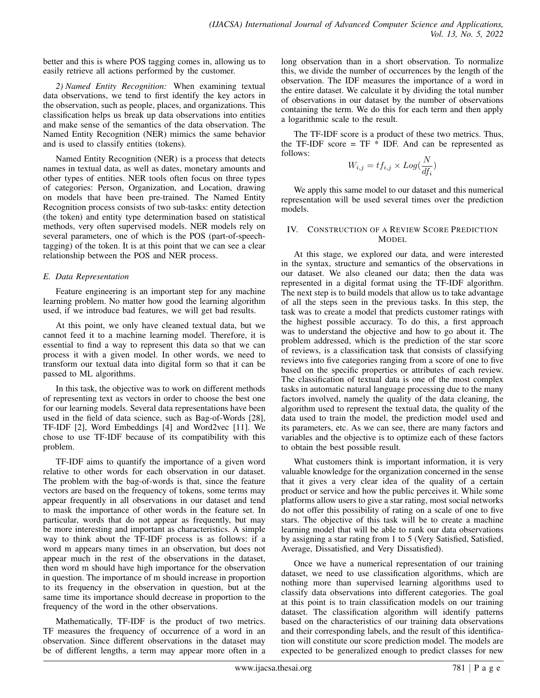better and this is where POS tagging comes in, allowing us to easily retrieve all actions performed by the customer.

*2) Named Entity Recognition:* When examining textual data observations, we tend to first identify the key actors in the observation, such as people, places, and organizations. This classification helps us break up data observations into entities and make sense of the semantics of the data observation. The Named Entity Recognition (NER) mimics the same behavior and is used to classify entities (tokens).

Named Entity Recognition (NER) is a process that detects names in textual data, as well as dates, monetary amounts and other types of entities. NER tools often focus on three types of categories: Person, Organization, and Location, drawing on models that have been pre-trained. The Named Entity Recognition process consists of two sub-tasks: entity detection (the token) and entity type determination based on statistical methods, very often supervised models. NER models rely on several parameters, one of which is the POS (part-of-speechtagging) of the token. It is at this point that we can see a clear relationship between the POS and NER process.

## *E. Data Representation*

Feature engineering is an important step for any machine learning problem. No matter how good the learning algorithm used, if we introduce bad features, we will get bad results.

At this point, we only have cleaned textual data, but we cannot feed it to a machine learning model. Therefore, it is essential to find a way to represent this data so that we can process it with a given model. In other words, we need to transform our textual data into digital form so that it can be passed to ML algorithms.

In this task, the objective was to work on different methods of representing text as vectors in order to choose the best one for our learning models. Several data representations have been used in the field of data science, such as Bag-of-Words [28], TF-IDF [2], Word Embeddings [4] and Word2vec [11]. We chose to use TF-IDF because of its compatibility with this problem.

TF-IDF aims to quantify the importance of a given word relative to other words for each observation in our dataset. The problem with the bag-of-words is that, since the feature vectors are based on the frequency of tokens, some terms may appear frequently in all observations in our dataset and tend to mask the importance of other words in the feature set. In particular, words that do not appear as frequently, but may be more interesting and important as characteristics. A simple way to think about the TF-IDF process is as follows: if a word m appears many times in an observation, but does not appear much in the rest of the observations in the dataset, then word m should have high importance for the observation in question. The importance of m should increase in proportion to its frequency in the observation in question, but at the same time its importance should decrease in proportion to the frequency of the word in the other observations.

Mathematically, TF-IDF is the product of two metrics. TF measures the frequency of occurrence of a word in an observation. Since different observations in the dataset may be of different lengths, a term may appear more often in a long observation than in a short observation. To normalize this, we divide the number of occurrences by the length of the observation. The IDF measures the importance of a word in the entire dataset. We calculate it by dividing the total number of observations in our dataset by the number of observations containing the term. We do this for each term and then apply a logarithmic scale to the result.

The TF-IDF score is a product of these two metrics. Thus, the TF-IDF score =  $TF * IDF$ . And can be represented as follows:

$$
W_{i,j} = tf_{i,j} \times Log(\frac{N}{df_i})
$$

We apply this same model to our dataset and this numerical representation will be used several times over the prediction models.

#### IV. CONSTRUCTION OF A REVIEW SCORE PREDICTION MODEL

At this stage, we explored our data, and were interested in the syntax, structure and semantics of the observations in our dataset. We also cleaned our data; then the data was represented in a digital format using the TF-IDF algorithm. The next step is to build models that allow us to take advantage of all the steps seen in the previous tasks. In this step, the task was to create a model that predicts customer ratings with the highest possible accuracy. To do this, a first approach was to understand the objective and how to go about it. The problem addressed, which is the prediction of the star score of reviews, is a classification task that consists of classifying reviews into five categories ranging from a score of one to five based on the specific properties or attributes of each review. The classification of textual data is one of the most complex tasks in automatic natural language processing due to the many factors involved, namely the quality of the data cleaning, the algorithm used to represent the textual data, the quality of the data used to train the model, the prediction model used and its parameters, etc. As we can see, there are many factors and variables and the objective is to optimize each of these factors to obtain the best possible result.

What customers think is important information, it is very valuable knowledge for the organization concerned in the sense that it gives a very clear idea of the quality of a certain product or service and how the public perceives it. While some platforms allow users to give a star rating, most social networks do not offer this possibility of rating on a scale of one to five stars. The objective of this task will be to create a machine learning model that will be able to rank our data observations by assigning a star rating from 1 to 5 (Very Satisfied, Satisfied, Average, Dissatisfied, and Very Dissatisfied).

Once we have a numerical representation of our training dataset, we need to use classification algorithms, which are nothing more than supervised learning algorithms used to classify data observations into different categories. The goal at this point is to train classification models on our training dataset. The classification algorithm will identify patterns based on the characteristics of our training data observations and their corresponding labels, and the result of this identification will constitute our score prediction model. The models are expected to be generalized enough to predict classes for new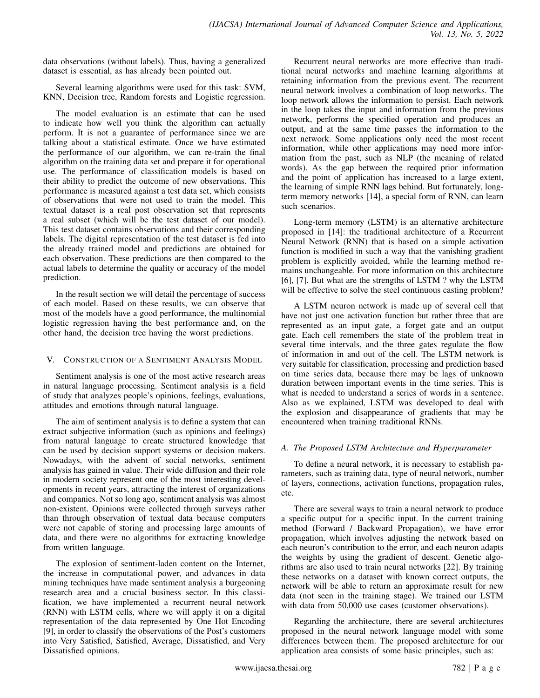data observations (without labels). Thus, having a generalized dataset is essential, as has already been pointed out.

Several learning algorithms were used for this task: SVM, KNN, Decision tree, Random forests and Logistic regression.

The model evaluation is an estimate that can be used to indicate how well you think the algorithm can actually perform. It is not a guarantee of performance since we are talking about a statistical estimate. Once we have estimated the performance of our algorithm, we can re-train the final algorithm on the training data set and prepare it for operational use. The performance of classification models is based on their ability to predict the outcome of new observations. This performance is measured against a test data set, which consists of observations that were not used to train the model. This textual dataset is a real post observation set that represents a real subset (which will be the test dataset of our model). This test dataset contains observations and their corresponding labels. The digital representation of the test dataset is fed into the already trained model and predictions are obtained for each observation. These predictions are then compared to the actual labels to determine the quality or accuracy of the model prediction.

In the result section we will detail the percentage of success of each model. Based on these results, we can observe that most of the models have a good performance, the multinomial logistic regression having the best performance and, on the other hand, the decision tree having the worst predictions.

### V. CONSTRUCTION OF A SENTIMENT ANALYSIS MODEL

Sentiment analysis is one of the most active research areas in natural language processing. Sentiment analysis is a field of study that analyzes people's opinions, feelings, evaluations, attitudes and emotions through natural language.

The aim of sentiment analysis is to define a system that can extract subjective information (such as opinions and feelings) from natural language to create structured knowledge that can be used by decision support systems or decision makers. Nowadays, with the advent of social networks, sentiment analysis has gained in value. Their wide diffusion and their role in modern society represent one of the most interesting developments in recent years, attracting the interest of organizations and companies. Not so long ago, sentiment analysis was almost non-existent. Opinions were collected through surveys rather than through observation of textual data because computers were not capable of storing and processing large amounts of data, and there were no algorithms for extracting knowledge from written language.

The explosion of sentiment-laden content on the Internet, the increase in computational power, and advances in data mining techniques have made sentiment analysis a burgeoning research area and a crucial business sector. In this classification, we have implemented a recurrent neural network (RNN) with LSTM cells, where we will apply it on a digital representation of the data represented by One Hot Encoding [9], in order to classify the observations of the Post's customers into Very Satisfied, Satisfied, Average, Dissatisfied, and Very Dissatisfied opinions.

Recurrent neural networks are more effective than traditional neural networks and machine learning algorithms at retaining information from the previous event. The recurrent neural network involves a combination of loop networks. The loop network allows the information to persist. Each network in the loop takes the input and information from the previous network, performs the specified operation and produces an output, and at the same time passes the information to the next network. Some applications only need the most recent information, while other applications may need more information from the past, such as NLP (the meaning of related words). As the gap between the required prior information and the point of application has increased to a large extent, the learning of simple RNN lags behind. But fortunately, longterm memory networks [14], a special form of RNN, can learn such scenarios.

Long-term memory (LSTM) is an alternative architecture proposed in [14]: the traditional architecture of a Recurrent Neural Network (RNN) that is based on a simple activation function is modified in such a way that the vanishing gradient problem is explicitly avoided, while the learning method remains unchangeable. For more information on this architecture [6], [7]. But what are the strengths of LSTM ? why the LSTM will be effective to solve the steel continuous casting problem?

A LSTM neuron network is made up of several cell that have not just one activation function but rather three that are represented as an input gate, a forget gate and an output gate. Each cell remembers the state of the problem treat in several time intervals, and the three gates regulate the flow of information in and out of the cell. The LSTM network is very suitable for classification, processing and prediction based on time series data, because there may be lags of unknown duration between important events in the time series. This is what is needed to understand a series of words in a sentence. Also as we explained, LSTM was developed to deal with the explosion and disappearance of gradients that may be encountered when training traditional RNNs.

## *A. The Proposed LSTM Architecture and Hyperparameter*

To define a neural network, it is necessary to establish parameters, such as training data, type of neural network, number of layers, connections, activation functions, propagation rules, etc.

There are several ways to train a neural network to produce a specific output for a specific input. In the current training method (Forward / Backward Propagation), we have error propagation, which involves adjusting the network based on each neuron's contribution to the error, and each neuron adapts the weights by using the gradient of descent. Genetic algorithms are also used to train neural networks [22]. By training these networks on a dataset with known correct outputs, the network will be able to return an approximate result for new data (not seen in the training stage). We trained our LSTM with data from 50,000 use cases (customer observations).

Regarding the architecture, there are several architectures proposed in the neural network language model with some differences between them. The proposed architecture for our application area consists of some basic principles, such as: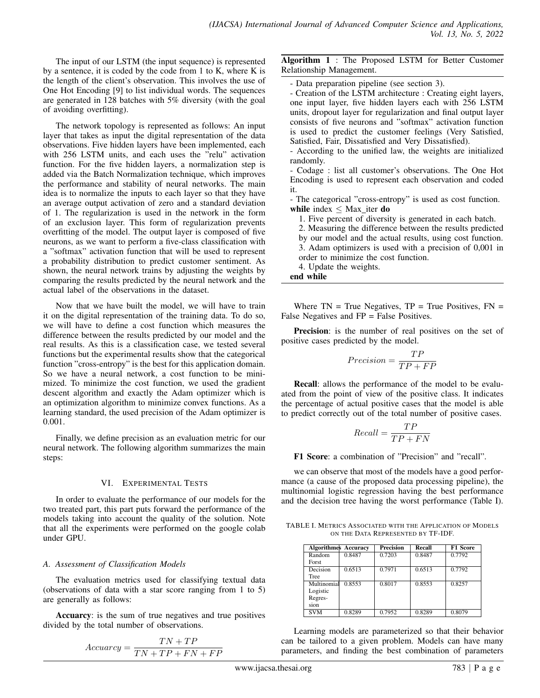The input of our LSTM (the input sequence) is represented by a sentence, it is coded by the code from 1 to K, where K is the length of the client's observation. This involves the use of One Hot Encoding [9] to list individual words. The sequences are generated in 128 batches with 5% diversity (with the goal of avoiding overfitting).

The network topology is represented as follows: An input layer that takes as input the digital representation of the data observations. Five hidden layers have been implemented, each with 256 LSTM units, and each uses the "relu" activation function. For the five hidden layers, a normalization step is added via the Batch Normalization technique, which improves the performance and stability of neural networks. The main idea is to normalize the inputs to each layer so that they have an average output activation of zero and a standard deviation of 1. The regularization is used in the network in the form of an exclusion layer. This form of regularization prevents overfitting of the model. The output layer is composed of five neurons, as we want to perform a five-class classification with a "softmax" activation function that will be used to represent a probability distribution to predict customer sentiment. As shown, the neural network trains by adjusting the weights by comparing the results predicted by the neural network and the actual label of the observations in the dataset.

Now that we have built the model, we will have to train it on the digital representation of the training data. To do so, we will have to define a cost function which measures the difference between the results predicted by our model and the real results. As this is a classification case, we tested several functions but the experimental results show that the categorical function "cross-entropy" is the best for this application domain. So we have a neural network, a cost function to be minimized. To minimize the cost function, we used the gradient descent algorithm and exactly the Adam optimizer which is an optimization algorithm to minimize convex functions. As a learning standard, the used precision of the Adam optimizer is 0.001.

Finally, we define precision as an evaluation metric for our neural network. The following algorithm summarizes the main steps:

### VI. EXPERIMENTAL TESTS

In order to evaluate the performance of our models for the two treated part, this part puts forward the performance of the models taking into account the quality of the solution. Note that all the experiments were performed on the google colab under GPU.

## *A. Assessment of Classification Models*

The evaluation metrics used for classifying textual data (observations of data with a star score ranging from 1 to 5) are generally as follows:

Accuarcy: is the sum of true negatives and true positives divided by the total number of observations.

$$
Accuracy = \frac{TN + TP}{TN + TP + FN + FP}
$$

Algorithm 1 : The Proposed LSTM for Better Customer Relationship Management.

- Data preparation pipeline (see section 3).

- Creation of the LSTM architecture : Creating eight layers, one input layer, five hidden layers each with 256 LSTM units, dropout layer for regularization and final output layer consists of five neurons and "softmax" activation function is used to predict the customer feelings (Very Satisfied, Satisfied, Fair, Dissatisfied and Very Dissatisfied).

- According to the unified law, the weights are initialized randomly.

- Codage : list all customer's observations. The One Hot Encoding is used to represent each observation and coded it.

- The categorical "cross-entropy" is used as cost function. while index  $\leq$  Max iter do

1. Five percent of diversity is generated in each batch.

- 2. Measuring the difference between the results predicted by our model and the actual results, using cost function. 3. Adam optimizers is used with a precision of 0,001 in order to minimize the cost function.
- 4. Update the weights.

end while

Where  $TN = True$  Negatives,  $TP = True$  Positives,  $FN =$ False Negatives and FP = False Positives.

Precision: is the number of real positives on the set of positive cases predicted by the model.

$$
Precision = \frac{TP}{TP + FP}
$$

Recall: allows the performance of the model to be evaluated from the point of view of the positive class. It indicates the percentage of actual positive cases that the model is able to predict correctly out of the total number of positive cases.

$$
Recall = \frac{TP}{TP + FN}
$$

F1 Score: a combination of "Precision" and "recall".

we can observe that most of the models have a good performance (a cause of the proposed data processing pipeline), the multinomial logistic regression having the best performance and the decision tree having the worst performance (Table I).

TABLE I. METRICS ASSOCIATED WITH THE APPLICATION OF MODELS ON THE DATA REPRESENTED BY TF-IDF.

| <b>Algorithmes Accuracy</b> |        | <b>Precision</b> | Recall | <b>F1 Score</b> |
|-----------------------------|--------|------------------|--------|-----------------|
| Random                      | 0.8487 | 0.7203           | 0.8487 | 0.7792          |
| Forst                       |        |                  |        |                 |
| Decision                    | 0.6513 | 0.7971           | 0.6513 | 0.7792          |
| Tree                        |        |                  |        |                 |
| Multinomial                 | 0.8553 | 0.8017           | 0.8553 | 0.8257          |
| Logistic                    |        |                  |        |                 |
| Regres-                     |        |                  |        |                 |
| sion                        |        |                  |        |                 |
| <b>SVM</b>                  | 0.8289 | 0.7952           | 0.8289 | 0.8079          |

Learning models are parameterized so that their behavior can be tailored to a given problem. Models can have many parameters, and finding the best combination of parameters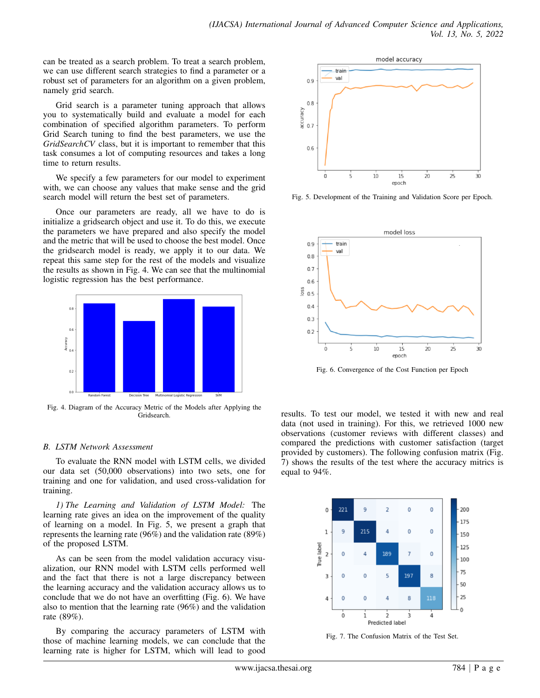can be treated as a search problem. To treat a search problem, we can use different search strategies to find a parameter or a robust set of parameters for an algorithm on a given problem, namely grid search.

Grid search is a parameter tuning approach that allows you to systematically build and evaluate a model for each combination of specified algorithm parameters. To perform Grid Search tuning to find the best parameters, we use the *GridSearchCV* class, but it is important to remember that this task consumes a lot of computing resources and takes a long time to return results.

We specify a few parameters for our model to experiment with, we can choose any values that make sense and the grid search model will return the best set of parameters.

Once our parameters are ready, all we have to do is initialize a gridsearch object and use it. To do this, we execute the parameters we have prepared and also specify the model and the metric that will be used to choose the best model. Once the gridsearch model is ready, we apply it to our data. We repeat this same step for the rest of the models and visualize the results as shown in Fig. 4. We can see that the multinomial logistic regression has the best performance.



Fig. 4. Diagram of the Accuracy Metric of the Models after Applying the Gridsearch.

## *B. LSTM Network Assessment*

To evaluate the RNN model with LSTM cells, we divided our data set (50,000 observations) into two sets, one for training and one for validation, and used cross-validation for training.

*1) The Learning and Validation of LSTM Model:* The learning rate gives an idea on the improvement of the quality of learning on a model. In Fig. 5, we present a graph that represents the learning rate (96%) and the validation rate (89%) of the proposed LSTM.

As can be seen from the model validation accuracy visualization, our RNN model with LSTM cells performed well and the fact that there is not a large discrepancy between the learning accuracy and the validation accuracy allows us to conclude that we do not have an overfitting (Fig. 6). We have also to mention that the learning rate (96%) and the validation rate (89%).

By comparing the accuracy parameters of LSTM with those of machine learning models, we can conclude that the learning rate is higher for LSTM, which will lead to good



Fig. 5. Development of the Training and Validation Score per Epoch.



Fig. 6. Convergence of the Cost Function per Epoch

results. To test our model, we tested it with new and real data (not used in training). For this, we retrieved 1000 new observations (customer reviews with different classes) and compared the predictions with customer satisfaction (target provided by customers). The following confusion matrix (Fig. 7) shows the results of the test where the accuracy mitrics is equal to 94%.



Fig. 7. The Confusion Matrix of the Test Set.